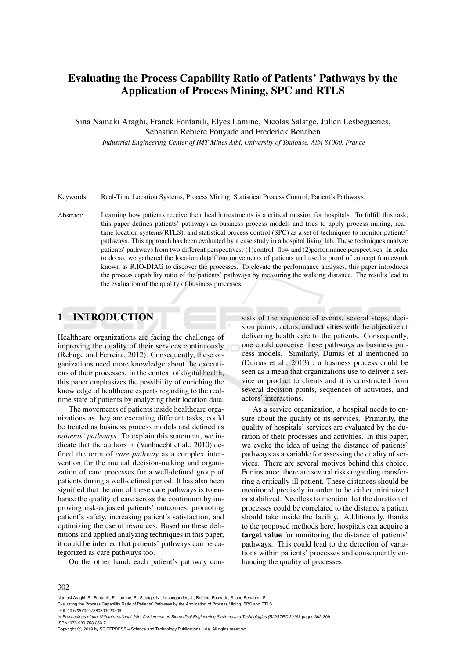# Evaluating the Process Capability Ratio of Patients' Pathways by the Application of Process Mining, SPC and RTLS

Sina Namaki Araghi, Franck Fontanili, Elyes Lamine, Nicolas Salatge, Julien Lesbegueries, Sebastien Rebiere Pouyade and Frederick Benaben

*Industrial Engineering Center of IMT Mines Albi, University of Toulouse, Albi 81000, France*

Keywords: Real-Time Location Systems, Process Mining, Statistical Process Control, Patient's Pathways.

Abstract: Learning how patients receive their health treatments is a critical mission for hospitals. To fulfill this task, this paper defines patients' pathways as business process models and tries to apply process mining, realtime location systems(RTLS), and statistical process control (SPC) as a set of techniques to monitor patients' pathways. This approach has been evaluated by a case study in a hospital living lab. These techniques analyze patients' pathways from two different perspectives: (1)control- flow and (2)performance perspectives. In order to do so, we gathered the location data from movements of patients and used a proof of concept framework known as R.IO-DIAG to discover the processes. To elevate the performance analyses, this paper introduces the process capability ratio of the patients' pathways by measuring the walking distance. The results lead to the evaluation of the quality of business processes.

# 1 INTRODUCTION

Healthcare organizations are facing the challenge of improving the quality of their services continuously (Rebuge and Ferreira, 2012). Consequently, these organizations need more knowledge about the executions of their processes. In the context of digital health, this paper emphasizes the possibility of enriching the knowledge of healthcare experts regarding to the realtime state of patients by analyzing their location data.

The movements of patients inside healthcare organizations as they are executing different tasks, could be treated as business process models and defined as *patients' pathways*. To explain this statement, we indicate that the authors in (Vanhaecht et al., 2010) defined the term of *care pathway* as a complex intervention for the mutual decision-making and organization of care processes for a well-defined group of patients during a well-defined period. It has also been signified that the aim of these care pathways is to enhance the quality of care across the continuum by improving risk-adjusted patients' outcomes, promoting patient's safety, increasing patient's satisfaction, and optimizing the use of resources. Based on these definitions and applied analyzing techniques in this paper, it could be inferred that patients' pathways can be categorized as care pathways too.

On the other hand, each patient's pathway con-

sists of the sequence of events, several steps, decision points, actors, and activities with the objective of delivering health care to the patients. Consequently, one could conceive these pathways as business process models. Similarly, Dumas et al mentioned in (Dumas et al., 2013) , a business process could be seen as a mean that organizations use to deliver a service or product to clients and it is constructed from several decision points, sequences of activities, and actors' interactions.

As a service organization, a hospital needs to ensure about the quality of its services. Primarily, the quality of hospitals' services are evaluated by the duration of their processes and activities. In this paper, we evoke the idea of using the distance of patients' pathways as a variable for assessing the quality of services. There are several motives behind this choice. For instance, there are several risks regarding transferring a critically ill patient. These distances should be monitored precisely in order to be either minimized or stabilized. Needless to mention that the duration of processes could be correlated to the distance a patient should take inside the facility. Additionally, thanks to the proposed methods here, hospitals can acquire a target value for monitoring the distance of patients' pathways. This could lead to the detection of variations within patients' processes and consequently enhancing the quality of processes.

#### 302

Namaki Araghi, S., Fontanili, F., Lamine, E., Salatge, N., Lesbegueries, J., Rebiere Pouyade, S. and Benaben, F.

Evaluating the Process Capability Ratio of Patients' Pathways by the Application of Process Mining, SPC and RTLS.

DOI: 10.5220/0007380803020309

In *Proceedings of the 12th International Joint Conference on Biomedical Engineering Systems and Technologies (BIOSTEC 2019)*, pages 302-309 ISBN: 978-989-758-353-7

Copyright (C) 2019 by SCITEPRESS - Science and Technology Publications, Lda. All rights reserved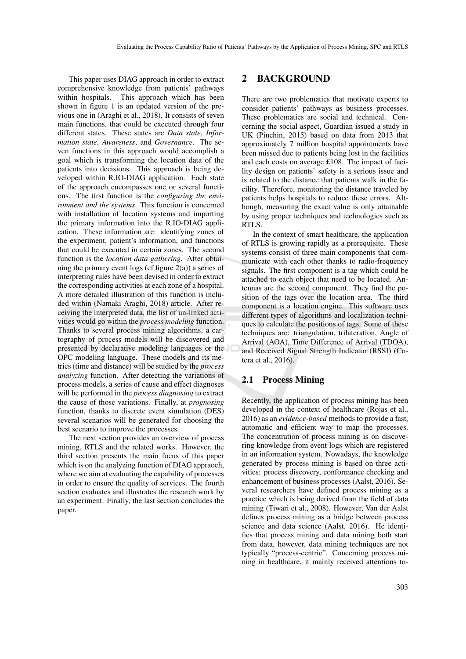This paper uses DIAG approach in order to extract comprehensive knowledge from patients' pathways within hospitals. This approach which has been shown in figure 1 is an updated version of the previous one in (Araghi et al., 2018). It consists of seven main functions, that could be executed through four different states. These states are *Data state*, *Information state*, *Awareness*, and *Governance*. The seven functions in this approach would accomplish a goal which is transforming the location data of the patients into decisions. This approach is being developed within R.IO-DIAG application. Each state of the approach encompasses one or several functions. The first function is the *configuring the environment and the systems*. This function is concerned with installation of location systems and importing the primary information into the R.IO-DIAG application. These information are: identifying zones of the experiment, patient's information, and functions that could be executed in certain zones. The second function is the *location data gathering*. After obtaining the primary event logs (cf figure  $2(a)$ ) a series of interpreting rules have been devised in order to extract the corresponding activities at each zone of a hospital. A more detailed illustration of this function is included within (Namaki Araghi, 2018) article. After receiving the interpreted data, the list of un-linked activities would go within the *process modeling* function. Thanks to several process mining algorithms, a cartography of process models will be discovered and presented by declarative modeling languages or the OPC modeling language. These models and its metrics (time and distance) will be studied by the *process analyzing* function. After detecting the variations of process models, a series of cause and effect diagnoses will be performed in the *process diagnosing* to extract the cause of those variations. Finally, at *prognosing* function, thanks to discrete event simulation (DES) several scenarios will be generated for choosing the best scenario to improve the processes.

The next section provides an overview of process mining, RTLS and the related works. However, the third section presents the main focus of this paper which is on the analyzing function of DIAG appraoch, where we aim at evaluating the capability of processes in order to ensure the quality of services. The fourth section evaluates and illustrates the research work by an experiment. Finally, the last section concludes the paper.

### 2 BACKGROUND

There are two problematics that motivate experts to consider patients' pathways as business processes. These problematics are social and technical. Concerning the social aspect, Guardian issued a study in UK (Pinchin, 2015) based on data from 2013 that approximately 7 million hospital appointments have been missed due to patients being lost in the facilities and each costs on average £108. The impact of facility design on patients' safety is a serious issue and is related to the distance that patients walk in the facility. Therefore, monitoring the distance traveled by patients helps hospitals to reduce these errors. Although, measuring the exact value is only attainable by using proper techniques and technologies such as RTLS.

In the context of smart healthcare, the application of RTLS is growing rapidly as a prerequisite. These systems consist of three main components that communicate with each other thanks to radio-frequency signals. The first component is a tag which could be attached to each object that need to be located. Antennas are the second component. They find the position of the tags over the location area. The third component is a location engine. This software uses different types of algorithms and localization techniques to calculate the positions of tags. Some of these techniques are: triangulation, trilateration, Angle of Arrival (AOA), Time Difference of Arrival (TDOA), and Received Signal Strength Indicator (RSSI) (Cotera et al., 2016).

## 2.1 Process Mining

Recently, the application of process mining has been developed in the context of healthcare (Rojas et al., 2016) as an *evidence-based* methods to provide a fast, automatic and efficient way to map the processes. The concentration of process mining is on discovering knowledge from event logs which are registered in an information system. Nowadays, the knowledge generated by process mining is based on three activities: process discovery, conformance checking and enhancement of business processes (Aalst, 2016). Several researchers have defined process mining as a practice which is being derived from the field of data mining (Tiwari et al., 2008). However, Van der Aalst defines process mining as a bridge between process science and data science (Aalst, 2016). He identifies that process mining and data mining both start from data, however, data mining techniques are not typically "process-centric". Concerning process mining in healthcare, it mainly received attentions to-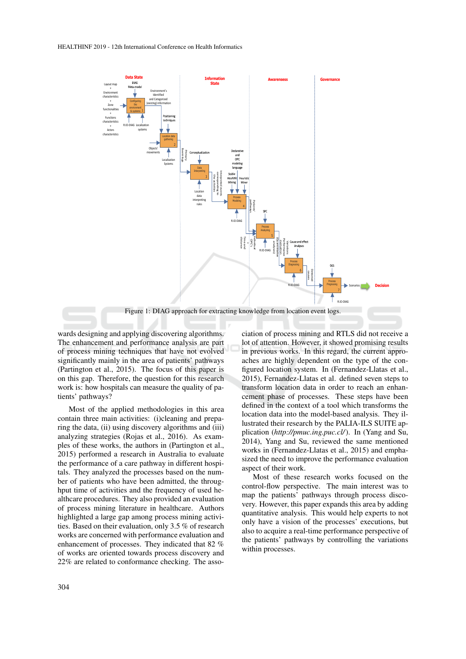

Figure 1: DIAG approach for extracting knowledge from location event logs.

wards designing and applying discovering algorithms. The enhancement and performance analysis are part of process mining techniques that have not evolved significantly mainly in the area of patients' pathways (Partington et al., 2015). The focus of this paper is on this gap. Therefore, the question for this research work is: how hospitals can measure the quality of patients' pathways?

Most of the applied methodologies in this area contain three main activities: (i)cleaning and preparing the data, (ii) using discovery algorithms and (iii) analyzing strategies (Rojas et al., 2016). As examples of these works, the authors in (Partington et al., 2015) performed a research in Australia to evaluate the performance of a care pathway in different hospitals. They analyzed the processes based on the number of patients who have been admitted, the throughput time of activities and the frequency of used healthcare procedures. They also provided an evaluation of process mining literature in healthcare. Authors highlighted a large gap among process mining activities. Based on their evaluation, only 3.5 % of research works are concerned with performance evaluation and enhancement of processes. They indicated that 82 % of works are oriented towards process discovery and 22% are related to conformance checking. The asso-

ciation of process mining and RTLS did not receive a lot of attention. However, it showed promising results in previous works. In this regard, the current approaches are highly dependent on the type of the configured location system. In (Fernandez-Llatas et al., 2015), Fernandez-Llatas et al. defined seven steps to transform location data in order to reach an enhancement phase of processes. These steps have been defined in the context of a tool which transforms the location data into the model-based analysis. They illustrated their research by the PALIA-ILS SUITE application (*http://pmuc.ing.puc.cl/*). In (Yang and Su, 2014), Yang and Su, reviewed the same mentioned works in (Fernandez-Llatas et al., 2015) and emphasized the need to improve the performance evaluation aspect of their work.

Most of these research works focused on the control-flow perspective. The main interest was to map the patients' pathways through process discovery. However, this paper expands this area by adding quantitative analysis. This would help experts to not only have a vision of the processes' executions, but also to acquire a real-time performance perspective of the patients' pathways by controlling the variations within processes.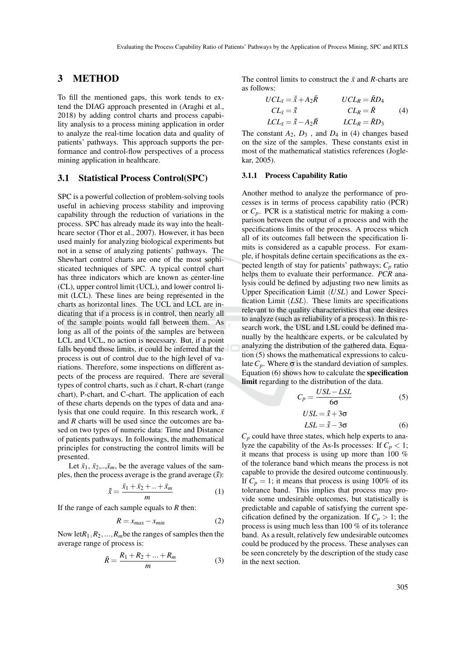### 3 METHOD

To fill the mentioned gaps, this work tends to extend the DIAG approach presented in (Araghi et al., 2018) by adding control charts and process capability analysis to a process mining application in order to analyze the real-time location data and quality of patients' pathways. This approach supports the performance and control-flow perspectives of a process mining application in healthcare.

### 3.1 Statistical Process Control(SPC)

SPC is a powerful collection of problem-solving tools useful in achieving process stability and improving capability through the reduction of variations in the process. SPC has already made its way into the healthcare sector (Thor et al., 2007). However, it has been used mainly for analyzing biological experiments but not in a sense of analyzing patients' pathways. The Shewhart control charts are one of the most sophisticated techniques of SPC. A typical control chart has three indicators which are known as center-line (CL), upper control limit (UCL), and lower control limit (LCL). These lines are being represented in the charts as horizontal lines. The UCL and LCL are indicating that if a process is in control, then nearly all of the sample points would fall between them. As long as all of the points of the samples are between LCL and UCL, no action is necessary. But, if a point falls beyond those limits, it could be inferred that the process is out of control due to the high level of variations. Therefore, some inspections on different aspects of the process are required. There are several types of control charts, such as  $\bar{x}$  chart, R-chart (range chart), P-chart, and C-chart. The application of each of these charts depends on the types of data and analysis that one could require. In this research work,  $\bar{x}$ and *R* charts will be used since the outcomes are based on two types of numeric data: Time and Distance of patients pathways. In followings, the mathematical principles for constructing the control limits will be presented.

Let  $\bar{x}_1$ ,  $\bar{x}_2$ ,  $\bar{x}_m$ , be the average values of the samples, then the process average is the grand average  $(\bar{\bar{x}})$ :

$$
\bar{\bar{x}} = \frac{\bar{x}_1 + \bar{x}_2 + \ldots + \bar{x}_m}{m} \tag{1}
$$

If the range of each sample equals to *R* then:

$$
R = x_{max} - x_{min} \tag{2}
$$

Now  $letR_1, R_2, ..., R_m$  be the ranges of samples then the average range of process is:

$$
\bar{R} = \frac{R_1 + R_2 + \dots + R_m}{m} \tag{3}
$$

The control limits to construct the  $\bar{x}$  and *R*-charts are as follows:

$$
UCL_{\bar{x}} = \bar{\bar{x}} + A_2 \bar{R}
$$
  
\n
$$
CL_{\bar{x}} = \bar{\bar{x}} + A_2 \bar{R}
$$
  
\n
$$
UL_{\bar{x}} = \bar{\bar{x}} - A_2 \bar{R}
$$
  
\n
$$
LCL_{\bar{x}} = \bar{R}D_3
$$
  
\n
$$
LCL_{\bar{x}} = \bar{R}D_3
$$
  
\n(4)

The constant  $A_2$ ,  $D_3$ , and  $D_4$  in (4) changes based on the size of the samples. These constants exist in most of the mathematical statistics references (Joglekar, 2005).

#### 3.1.1 Process Capability Ratio

Another method to analyze the performance of processes is in terms of process capability ratio (PCR) or *Cp*. PCR is a statistical metric for making a comparison between the output of a process and with the specifications limits of the process. A process which all of its outcomes fall between the specification limits is considered as a capable process. For example, if hospitals define certain specifications as the expected length of stay for patients' pathways;  $C_p$  ratio helps them to evaluate their performance. *PCR* analysis could be defined by adjusting two new limits as Upper Specification Limit (*USL*) and Lower Specification Limit (*LSL*). These limits are specifications relevant to the quality characteristics that one desires to analyze (such as reliability of a process). In this research work, the USL and LSL could be defined manually by the healthcare experts, or be calculated by analyzing the distribution of the gathered data. Equation (5) shows the mathematical expressions to calculate  $C_p$ . Where  $\sigma$  is the standard deviation of samples. Equation (6) shows how to calculate the specification limit regarding to the distribution of the data.

$$
C_p = \frac{USL - LSL}{6\sigma} \tag{5}
$$

$$
USL = \bar{\bar{x}} + 3\sigma
$$
  

$$
LSL = \bar{\bar{x}} - 3\sigma
$$
 (6)

 $C_p$  could have three states, which help experts to analyze the capability of the As-Is processes: If  $C_p < 1$ ; it means that process is using up more than 100 % of the tolerance band which means the process is not capable to provide the desired outcome continuously. If  $C_p = 1$ ; it means that process is using 100% of its tolerance band. This implies that process may provide some undesirable outcomes, but statistically is predictable and capable of satisfying the current specification defined by the organization. If  $C_p > 1$ ; the process is using much less than 100 % of its tolerance band. As a result, relatively few undesirable outcomes could be produced by the process. These analyses can be seen concretely by the description of the study case in the next section.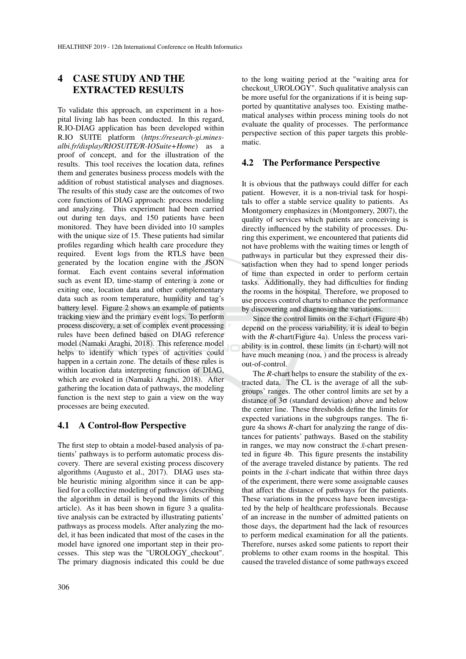# 4 CASE STUDY AND THE EXTRACTED RESULTS

To validate this approach, an experiment in a hospital living lab has been conducted. In this regard, R.IO-DIAG application has been developed within R.IO SUITE platform (*https://research-gi.minesalbi.fr/display/RIOSUITE/R-IOSuite+Home*) as a proof of concept, and for the illustration of the results. This tool receives the location data, refines them and generates business process models with the addition of robust statistical analyses and diagnoses. The results of this study case are the outcomes of two core functions of DIAG approach: process modeling and analyzing. This experiment had been carried out during ten days, and 150 patients have been monitored. They have been divided into 10 samples with the unique size of 15. These patients had similar profiles regarding which health care procedure they required. Event logs from the RTLS have been generated by the location engine with the JSON format. Each event contains several information such as event ID, time-stamp of entering a zone or exiting one, location data and other complementary data such as room temperature, humidity and tag's battery level. Figure 2 shows an example of patients tracking view and the primary event logs. To perform process discovery, a set of complex event processing rules have been defined based on DIAG reference model (Namaki Araghi, 2018). This reference model helps to identify which types of activities could happen in a certain zone. The details of these rules is within location data interpreting function of DIAG, which are evoked in (Namaki Araghi, 2018). After gathering the location data of pathways, the modeling function is the next step to gain a view on the way processes are being executed.

### 4.1 A Control-flow Perspective

The first step to obtain a model-based analysis of patients' pathways is to perform automatic process discovery. There are several existing process discovery algorithms (Augusto et al., 2017). DIAG uses stable heuristic mining algorithm since it can be applied for a collective modeling of pathways (describing the algorithm in detail is beyond the limits of this article). As it has been shown in figure 3 a qualitative analysis can be extracted by illustrating patients' pathways as process models. After analyzing the model, it has been indicated that most of the cases in the model have ignored one important step in their processes. This step was the "UROLOGY\_checkout". The primary diagnosis indicated this could be due

to the long waiting period at the "waiting area for checkout\_UROLOGY". Such qualitative analysis can be more useful for the organizations if it is being supported by quantitative analyses too. Existing mathematical analyses within process mining tools do not evaluate the quality of processes. The performance perspective section of this paper targets this problematic.

### 4.2 The Performance Perspective

It is obvious that the pathways could differ for each patient. However, it is a non-trivial task for hospitals to offer a stable service quality to patients. As Montgomery emphasizes in (Montgomery, 2007), the quality of services which patients are conceiving is directly influenced by the stability of processes. During this experiment, we encountered that patients did not have problems with the waiting times or length of pathways in particular but they expressed their dissatisfaction when they had to spend longer periods of time than expected in order to perform certain tasks. Additionally, they had difficulties for finding the rooms in the hospital. Therefore, we proposed to use process control charts to enhance the performance by discovering and diagnosing the variations.

Since the control limits on the  $\bar{x}$ -chart (Figure 4b) depend on the process variability, it is ideal to begin with the *R*-chart(Figure 4a). Unless the process variability is in control, these limits (in  $\bar{x}$ -chart) will not have much meaning (noa, ) and the process is already out-of-control.

The *R*-chart helps to ensure the stability of the extracted data. The CL is the average of all the subgroups' ranges. The other control limits are set by a distance of  $3\sigma$  (standard deviation) above and below the center line. These thresholds define the limits for expected variations in the subgroups ranges. The figure 4a shows *R*-chart for analyzing the range of distances for patients' pathways. Based on the stability in ranges, we may now construct the  $\bar{x}$ -chart presented in figure 4b. This figure presents the instability of the average traveled distance by patients. The red points in the  $\bar{x}$ -chart indicate that within three days of the experiment, there were some assignable causes that affect the distance of pathways for the patients. These variations in the process have been investigated by the help of healthcare professionals. Because of an increase in the number of admitted patients on those days, the department had the lack of resources to perform medical examination for all the patients. Therefore, nurses asked some patients to report their problems to other exam rooms in the hospital. This caused the traveled distance of some pathways exceed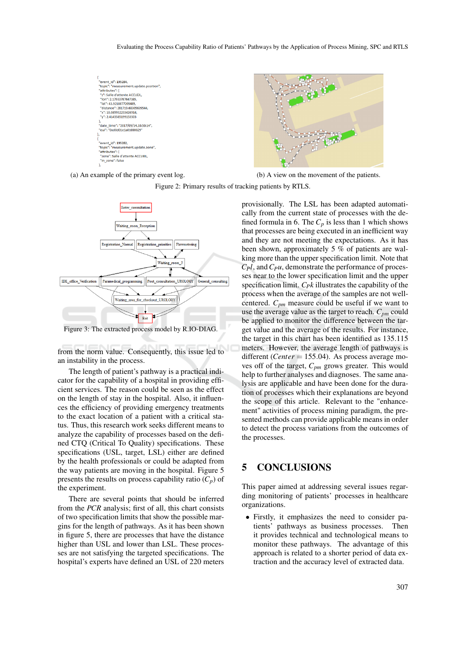



Figure 2: Primary results of tracking patients by RTLS.



Figure 3: The extracted process model by R.IO-DIAG.

from the norm value. Consequently, this issue led to an instability in the process.

The length of patient's pathway is a practical indicator for the capability of a hospital in providing efficient services. The reason could be seen as the effect on the length of stay in the hospital. Also, it influences the efficiency of providing emergency treatments to the exact location of a patient with a critical status. Thus, this research work seeks different means to analyze the capability of processes based on the defined CTQ (Critical To Quality) specifications. These specifications (USL, target, LSL) either are defined by the health professionals or could be adapted from the way patients are moving in the hospital. Figure 5 presents the results on process capability ratio  $(C_p)$  of the experiment.

There are several points that should be inferred from the *PCR* analysis; first of all, this chart consists of two specification limits that show the possible margins for the length of pathways. As it has been shown in figure 5, there are processes that have the distance higher than USL and lower than LSL. These processes are not satisfying the targeted specifications. The hospital's experts have defined an USL of 220 meters

provisionally. The LSL has been adapted automatically from the current state of processes with the defined formula in 6. The  $C_p$  is less than 1 which shows that processes are being executed in an inefficient way and they are not meeting the expectations. As it has been shown, approximately 5 % of patients are walking more than the upper specification limit. Note that *CPl*, and*CPu*, demonstrate the performance of processes near to the lower specification limit and the upper specification limit. *CPk* illustrates the capability of the process when the average of the samples are not wellcentered. *Cpm* measure could be useful if we want to use the average value as the target to reach. *Cpm* could be applied to monitor the difference between the target value and the average of the results. For instance, the target in this chart has been identified as 135.115 meters. However, the average length of pathways is different (*Center* = 155.04). As process average moves off of the target, *Cpm* grows greater. This would help to further analyses and diagnoses. The same analysis are applicable and have been done for the duration of processes which their explanations are beyond the scope of this article. Relevant to the "enhancement" activities of process mining paradigm, the presented methods can provide applicable means in order to detect the process variations from the outcomes of the processes.

## 5 CONCLUSIONS

This paper aimed at addressing several issues regarding monitoring of patients' processes in healthcare organizations.

• Firstly, it emphasizes the need to consider patients' pathways as business processes. Then it provides technical and technological means to monitor these pathways. The advantage of this approach is related to a shorter period of data extraction and the accuracy level of extracted data.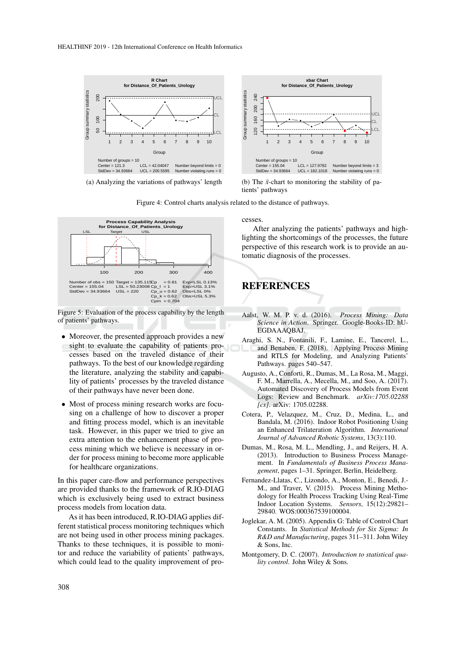

Figure 4: Control charts analysis related to the distance of pathways.

(a) Analyzing the variations of pathways' length



Figure 5: Evaluation of the process capability by the length of patients' pathways.

- Moreover, the presented approach provides a new sight to evaluate the capability of patients processes based on the traveled distance of their pathways. To the best of our knowledge regarding the literature, analyzing the stability and capability of patients' processes by the traveled distance of their pathways have never been done.
- Most of process mining research works are focusing on a challenge of how to discover a proper and fitting process model, which is an inevitable task. However, in this paper we tried to give an extra attention to the enhancement phase of process mining which we believe is necessary in order for process mining to become more applicable for healthcare organizations.

In this paper care-flow and performance perspectives are provided thanks to the framework of R.IO-DIAG which is exclusively being used to extract business process models from location data.

As it has been introduced, R.IO-DIAG applies different statistical process monitoring techniques which are not being used in other process mining packages. Thanks to these techniques, it is possible to monitor and reduce the variability of patients' pathways, which could lead to the quality improvement of pro(b) The  $\bar{x}$ -chart to monitoring the stability of patients' pathways

cesses.

After analyzing the patients' pathways and highlighting the shortcomings of the processes, the future perspective of this research work is to provide an automatic diagnosis of the processes.

## REFERENCES

- Aalst, W. M. P. v. d. (2016). *Process Mining: Data Science in Action*. Springer. Google-Books-ID: hU-EGDAAAQBAJ.
- Araghi, S. N., Fontanili, F., Lamine, E., Tancerel, L., and Benaben, F. (2018). Applying Process Mining and RTLS for Modeling, and Analyzing Patients' Pathways. pages 540–547.
- Augusto, A., Conforti, R., Dumas, M., La Rosa, M., Maggi, F. M., Marrella, A., Mecella, M., and Soo, A. (2017). Automated Discovery of Process Models from Event Logs: Review and Benchmark. *arXiv:1705.02288 [cs]*. arXiv: 1705.02288.
- Cotera, P., Velazquez, M., Cruz, D., Medina, L., and Bandala, M. (2016). Indoor Robot Positioning Using an Enhanced Trilateration Algorithm. *International Journal of Advanced Robotic Systems*, 13(3):110.
- Dumas, M., Rosa, M. L., Mendling, J., and Reijers, H. A. (2013). Introduction to Business Process Management. In *Fundamentals of Business Process Management*, pages 1–31. Springer, Berlin, Heidelberg.
- Fernandez-Llatas, C., Lizondo, A., Monton, E., Benedi, J.- M., and Traver, V. (2015). Process Mining Methodology for Health Process Tracking Using Real-Time Indoor Location Systems. *Sensors*, 15(12):29821– 29840. WOS:000367539100004.
- Joglekar, A. M. (2005). Appendix G: Table of Control Chart Constants. In *Statistical Methods for Six Sigma: In R&D and Manufacturing*, pages 311–311. John Wiley & Sons, Inc.
- Montgomery, D. C. (2007). *Introduction to statistical quality control*. John Wiley & Sons.